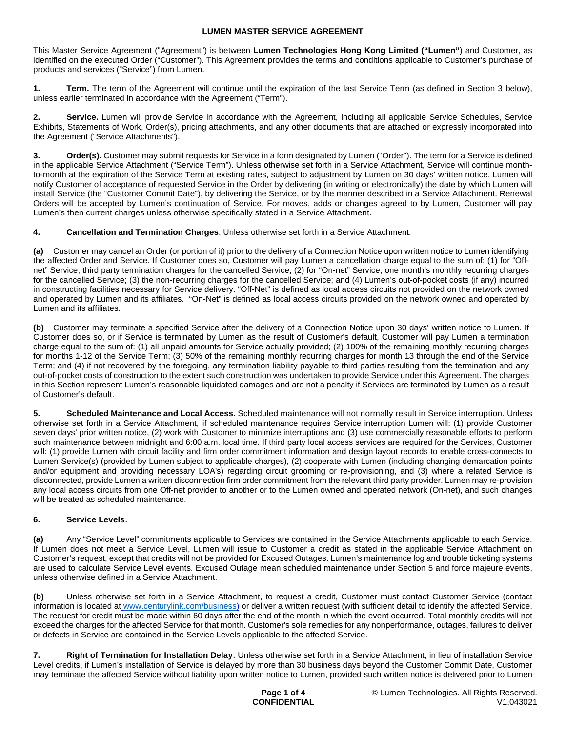This Master Service Agreement ("Agreement") is between **Lumen Technologies Hong Kong Limited ("Lumen"**) and Customer, as identified on the executed Order ("Customer"). This Agreement provides the terms and conditions applicable to Customer's purchase of products and services ("Service") from Lumen.

**1. Term.** The term of the Agreement will continue until the expiration of the last Service Term (as defined in Section 3 below), unless earlier terminated in accordance with the Agreement ("Term").

2. Service. Lumen will provide Service in accordance with the Agreement, including all applicable Service Schedules, Service Exhibits, Statements of Work, Order(s), pricing attachments, and any other documents that are attached or expressly incorporated into the Agreement ("Service Attachments").

**Order(s).** Customer may submit requests for Service in a form designated by Lumen ("Order"). The term for a Service is defined in the applicable Service Attachment ("Service Term"). Unless otherwise set forth in a Service Attachment, Service will continue monthto-month at the expiration of the Service Term at existing rates, subject to adjustment by Lumen on 30 days' written notice. Lumen will notify Customer of acceptance of requested Service in the Order by delivering (in writing or electronically) the date by which Lumen will install Service (the "Customer Commit Date"), by delivering the Service, or by the manner described in a Service Attachment. Renewal Orders will be accepted by Lumen's continuation of Service. For moves, adds or changes agreed to by Lumen, Customer will pay Lumen's then current charges unless otherwise specifically stated in a Service Attachment.

**4. Cancellation and Termination Charges**. Unless otherwise set forth in a Service Attachment:

**(a)** Customer may cancel an Order (or portion of it) prior to the delivery of a Connection Notice upon written notice to Lumen identifying the affected Order and Service. If Customer does so, Customer will pay Lumen a cancellation charge equal to the sum of: (1) for "Offnet" Service, third party termination charges for the cancelled Service; (2) for "On-net" Service, one month's monthly recurring charges for the cancelled Service; (3) the non-recurring charges for the cancelled Service; and (4) Lumen's out-of-pocket costs (if any) incurred in constructing facilities necessary for Service delivery. "Off-Net" is defined as local access circuits not provided on the network owned and operated by Lumen and its affiliates. "On-Net" is defined as local access circuits provided on the network owned and operated by Lumen and its affiliates.

**(b)** Customer may terminate a specified Service after the delivery of a Connection Notice upon 30 days' written notice to Lumen. If Customer does so, or if Service is terminated by Lumen as the result of Customer's default, Customer will pay Lumen a termination charge equal to the sum of: (1) all unpaid amounts for Service actually provided; (2) 100% of the remaining monthly recurring charges for months 1-12 of the Service Term; (3) 50% of the remaining monthly recurring charges for month 13 through the end of the Service Term; and (4) if not recovered by the foregoing, any termination liability payable to third parties resulting from the termination and any out-of-pocket costs of construction to the extent such construction was undertaken to provide Service under this Agreement. The charges in this Section represent Lumen's reasonable liquidated damages and are not a penalty if Services are terminated by Lumen as a result of Customer's default.

**5. Scheduled Maintenance and Local Access.** Scheduled maintenance will not normally result in Service interruption. Unless otherwise set forth in a Service Attachment, if scheduled maintenance requires Service interruption Lumen will: (1) provide Customer seven days' prior written notice, (2) work with Customer to minimize interruptions and (3) use commercially reasonable efforts to perform such maintenance between midnight and 6:00 a.m. local time. If third party local access services are required for the Services, Customer will: (1) provide Lumen with circuit facility and firm order commitment information and design layout records to enable cross-connects to Lumen Service(s) (provided by Lumen subject to applicable charges), (2) cooperate with Lumen (including changing demarcation points and/or equipment and providing necessary LOA's) regarding circuit grooming or re-provisioning, and (3) where a related Service is disconnected, provide Lumen a written disconnection firm order commitment from the relevant third party provider. Lumen may re-provision any local access circuits from one Off-net provider to another or to the Lumen owned and operated network (On-net), and such changes will be treated as scheduled maintenance.

## **6. Service Levels**.

**(a)** Any "Service Level" commitments applicable to Services are contained in the Service Attachments applicable to each Service. If Lumen does not meet a Service Level, Lumen will issue to Customer a credit as stated in the applicable Service Attachment on Customer's request, except that credits will not be provided for Excused Outages. Lumen's maintenance log and trouble ticketing systems are used to calculate Service Level events. Excused Outage mean scheduled maintenance under Section 5 and force majeure events, unless otherwise defined in a Service Attachment.

**(b)** Unless otherwise set forth in a Service Attachment, to request a credit, Customer must contact Customer Service (contact information is located at [www.centurylink.com/business](http://www.centurylink.com/business)) or deliver a written request (with sufficient detail to identify the affected Service. The request for credit must be made within 60 days after the end of the month in which the event occurred. Total monthly credits will not exceed the charges for the affected Service for that month. Customer's sole remedies for any nonperformance, outages, failures to deliver or defects in Service are contained in the Service Levels applicable to the affected Service.

**7. Right of Termination for Installation Delay**. Unless otherwise set forth in a Service Attachment, in lieu of installation Service Level credits, if Lumen's installation of Service is delayed by more than 30 business days beyond the Customer Commit Date, Customer may terminate the affected Service without liability upon written notice to Lumen, provided such written notice is delivered prior to Lumen

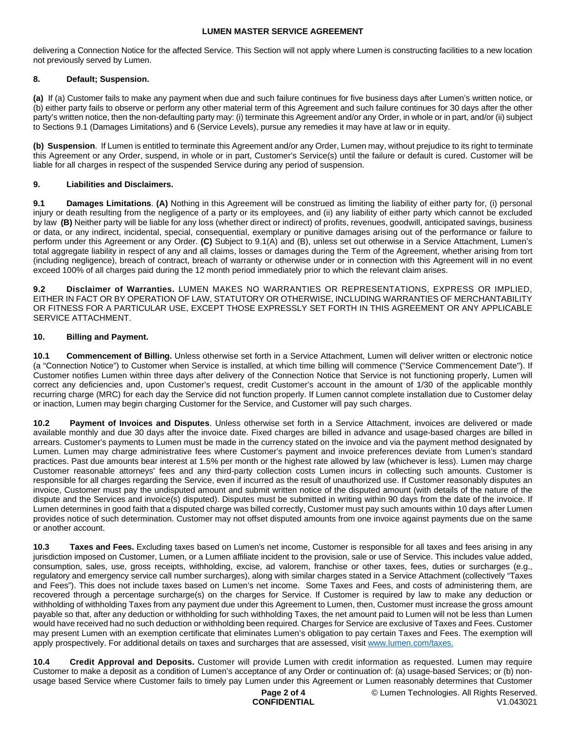delivering a Connection Notice for the affected Service. This Section will not apply where Lumen is constructing facilities to a new location not previously served by Lumen.

## **8. Default; Suspension.**

**(a)** If (a) Customer fails to make any payment when due and such failure continues for five business days after Lumen's written notice, or (b) either party fails to observe or perform any other material term of this Agreement and such failure continues for 30 days after the other party's written notice, then the non-defaulting party may: (i) terminate this Agreement and/or any Order, in whole or in part, and/or (ii) subject to Sections 9.1 (Damages Limitations) and 6 (Service Levels), pursue any remedies it may have at law or in equity.

**(b) Suspension**. If Lumen is entitled to terminate this Agreement and/or any Order, Lumen may, without prejudice to its right to terminate this Agreement or any Order, suspend, in whole or in part, Customer's Service(s) until the failure or default is cured. Customer will be liable for all charges in respect of the suspended Service during any period of suspension.

## **9. Liabilities and Disclaimers.**

**9.1 Damages Limitations**. **(A)** Nothing in this Agreement will be construed as limiting the liability of either party for, (i) personal injury or death resulting from the negligence of a party or its employees, and (ii) any liability of either party which cannot be excluded by law **(B)** Neither party will be liable for any loss (whether direct or indirect) of profits, revenues, goodwill, anticipated savings, business or data, or any indirect, incidental, special, consequential, exemplary or punitive damages arising out of the performance or failure to perform under this Agreement or any Order. **(C)** Subject to 9.1(A) and (B), unless set out otherwise in a Service Attachment, Lumen's total aggregate liability in respect of any and all claims, losses or damages during the Term of the Agreement, whether arising from tort (including negligence), breach of contract, breach of warranty or otherwise under or in connection with this Agreement will in no event exceed 100% of all charges paid during the 12 month period immediately prior to which the relevant claim arises.

**9.2 Disclaimer of Warranties.** LUMEN MAKES NO WARRANTIES OR REPRESENTATIONS, EXPRESS OR IMPLIED, EITHER IN FACT OR BY OPERATION OF LAW, STATUTORY OR OTHERWISE, INCLUDING WARRANTIES OF MERCHANTABILITY OR FITNESS FOR A PARTICULAR USE, EXCEPT THOSE EXPRESSLY SET FORTH IN THIS AGREEMENT OR ANY APPLICABLE SERVICE ATTACHMENT.

# **10. Billing and Payment.**

**10.1 Commencement of Billing.** Unless otherwise set forth in a Service Attachment, Lumen will deliver written or electronic notice (a "Connection Notice") to Customer when Service is installed, at which time billing will commence ("Service Commencement Date"). If Customer notifies Lumen within three days after delivery of the Connection Notice that Service is not functioning properly, Lumen will correct any deficiencies and, upon Customer's request, credit Customer's account in the amount of 1/30 of the applicable monthly recurring charge (MRC) for each day the Service did not function properly. If Lumen cannot complete installation due to Customer delay or inaction, Lumen may begin charging Customer for the Service, and Customer will pay such charges.

**10.2 Payment of Invoices and Disputes**. Unless otherwise set forth in a Service Attachment, invoices are delivered or made available monthly and due 30 days after the invoice date. Fixed charges are billed in advance and usage-based charges are billed in arrears. Customer's payments to Lumen must be made in the currency stated on the invoice and via the payment method designated by Lumen. Lumen may charge administrative fees where Customer's payment and invoice preferences deviate from Lumen's standard practices. Past due amounts bear interest at 1.5% per month or the highest rate allowed by law (whichever is less). Lumen may charge Customer reasonable attorneys' fees and any third-party collection costs Lumen incurs in collecting such amounts. Customer is responsible for all charges regarding the Service, even if incurred as the result of unauthorized use. If Customer reasonably disputes an invoice, Customer must pay the undisputed amount and submit written notice of the disputed amount (with details of the nature of the dispute and the Services and invoice(s) disputed). Disputes must be submitted in writing within 90 days from the date of the invoice. If Lumen determines in good faith that a disputed charge was billed correctly, Customer must pay such amounts within 10 days after Lumen provides notice of such determination. Customer may not offset disputed amounts from one invoice against payments due on the same or another account.

**10.3 Taxes and Fees.** Excluding taxes based on Lumen's net income, Customer is responsible for all taxes and fees arising in any jurisdiction imposed on Customer, Lumen, or a Lumen affiliate incident to the provision, sale or use of Service. This includes value added, consumption, sales, use, gross receipts, withholding, excise, ad valorem, franchise or other taxes, fees, duties or surcharges (e.g., regulatory and emergency service call number surcharges), along with similar charges stated in a Service Attachment (collectively "Taxes and Fees"). This does not include taxes based on Lumen's net income. Some Taxes and Fees, and costs of administering them, are recovered through a percentage surcharge(s) on the charges for Service. If Customer is required by law to make any deduction or withholding of withholding Taxes from any payment due under this Agreement to Lumen, then, Customer must increase the gross amount payable so that, after any deduction or withholding for such withholding Taxes, the net amount paid to Lumen will not be less than Lumen would have received had no such deduction or withholding been required. Charges for Service are exclusive of Taxes and Fees. Customer may present Lumen with an exemption certificate that eliminates Lumen's obligation to pay certain Taxes and Fees. The exemption will apply prospectively. For additional details on taxes and surcharges that are assessed, visit [www.lumen.com/taxes](http://www.lumen.com/taxes).

**10.4 Credit Approval and Deposits.** Customer will provide Lumen with credit information as requested. Lumen may require Customer to make a deposit as a condition of Lumen's acceptance of any Order or continuation of: (a) usage-based Services; or (b) nonusage based Service where Customer fails to timely pay Lumen under this Agreement or Lumen reasonably determines that Customer

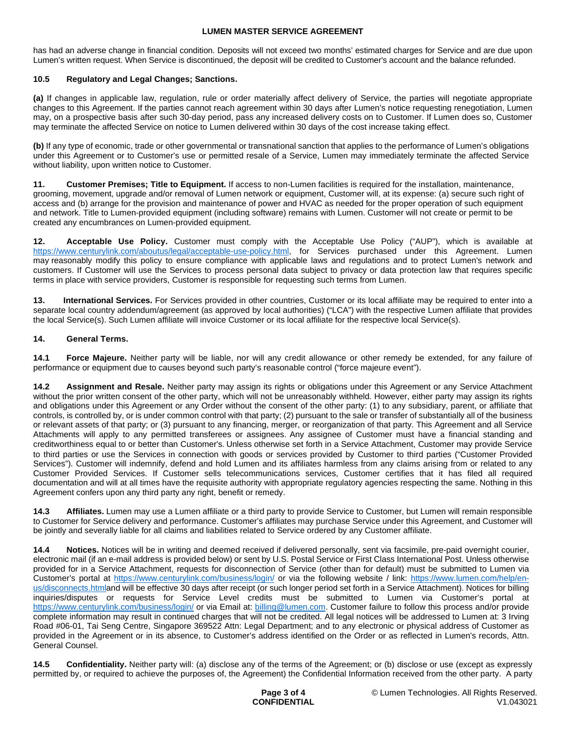has had an adverse change in financial condition. Deposits will not exceed two months' estimated charges for Service and are due upon Lumen's written request. When Service is discontinued, the deposit will be credited to Customer's account and the balance refunded.

## **10.5 Regulatory and Legal Changes; Sanctions.**

**(a)** If changes in applicable law, regulation, rule or order materially affect delivery of Service, the parties will negotiate appropriate changes to this Agreement. If the parties cannot reach agreement within 30 days after Lumen's notice requesting renegotiation, Lumen may, on a prospective basis after such 30-day period, pass any increased delivery costs on to Customer. If Lumen does so, Customer may terminate the affected Service on notice to Lumen delivered within 30 days of the cost increase taking effect.

**(b)** If any type of economic, trade or other governmental or transnational sanction that applies to the performance of Lumen's obligations under this Agreement or to Customer's use or permitted resale of a Service, Lumen may immediately terminate the affected Service without liability, upon written notice to Customer.

**11. Customer Premises; Title to Equipment.** If access to non-Lumen facilities is required for the installation, maintenance, grooming, movement, upgrade and/or removal of Lumen network or equipment, Customer will, at its expense: (a) secure such right of access and (b) arrange for the provision and maintenance of power and HVAC as needed for the proper operation of such equipment and network. Title to Lumen-provided equipment (including software) remains with Lumen. Customer will not create or permit to be created any encumbrances on Lumen-provided equipment.

**12. Acceptable Use Policy.** Customer must comply with the Acceptable Use Policy ("AUP"), which is available at https://www.centurylink.com/aboutus/legal/acceptable-use-policy.html, for Services purchased under this Agreement. Lumen may reasonably modify this policy to ensure compliance with applicable laws and regulations and to protect Lumen's network and customers. If Customer will use the Services to process personal data subject to privacy or data protection law that requires specific terms in place with service providers, Customer is responsible for requesting such terms from Lumen.

**13. International Services.** For Services provided in other countries, Customer or its local affiliate may be required to enter into a separate local country addendum/agreement (as approved by local authorities) ("LCA") with the respective Lumen affiliate that provides the local Service(s). Such Lumen affiliate will invoice Customer or its local affiliate for the respective local Service(s).

## **14. General Terms.**

**14.1 Force Majeure.** Neither party will be liable, nor will any credit allowance or other remedy be extended, for any failure of performance or equipment due to causes beyond such party's reasonable control ("force majeure event").

**14.2 Assignment and Resale.** Neither party may assign its rights or obligations under this Agreement or any Service Attachment without the prior written consent of the other party, which will not be unreasonably withheld. However, either party may assign its rights and obligations under this Agreement or any Order without the consent of the other party: (1) to any subsidiary, parent, or affiliate that controls, is controlled by, or is under common control with that party; (2) pursuant to the sale or transfer of substantially all of the business or relevant assets of that party; or (3) pursuant to any financing, merger, or reorganization of that party. This Agreement and all Service Attachments will apply to any permitted transferees or assignees. Any assignee of Customer must have a financial standing and creditworthiness equal to or better than Customer's. Unless otherwise set forth in a Service Attachment, Customer may provide Service to third parties or use the Services in connection with goods or services provided by Customer to third parties ("Customer Provided Services"). Customer will indemnify, defend and hold Lumen and its affiliates harmless from any claims arising from or related to any Customer Provided Services. If Customer sells telecommunications services, Customer certifies that it has filed all required documentation and will at all times have the requisite authority with appropriate regulatory agencies respecting the same. Nothing in this Agreement confers upon any third party any right, benefit or remedy.

**14.3 Affiliates.** Lumen may use a Lumen affiliate or a third party to provide Service to Customer, but Lumen will remain responsible to Customer for Service delivery and performance. Customer's affiliates may purchase Service under this Agreement, and Customer will be jointly and severally liable for all claims and liabilities related to Service ordered by any Customer affiliate.

**14.4 Notices.** Notices will be in writing and deemed received if delivered personally, sent via facsimile, pre-paid overnight courier, electronic mail (if an e-mail address is provided below) or sent by U.S. Postal Service or First Class International Post. Unless otherwise provided for in a Service Attachment, requests for disconnection of Service (other than for default) must be submitted to Lumen via Customer's portal at <https://www.centurylink.com/business/login/> or via the following website / link: [https://www.lumen.com/help/en](https://www.lumen.com/help/en-us/disconnects.html)[us/disconnects.htmland will be effective 30 days after receipt \(or such longer period set forth in a Service Attachment\). Notices for billing](https://www.lumen.com/help/en-us/disconnects.html)  inquiries/disputes or requests for Service Level credits must be submitted to Lumen via Customer's portal at <https://www.centurylink.com/business/login/>or via Email at: [billing@lumen.com](mailto:billing@lumen.com). Customer failure to follow this process and/or provide complete information may result in continued charges that will not be credited. All legal notices will be addressed to Lumen at: 3 Irving Road #06-01, Tai Seng Centre, Singapore 369522 Attn: Legal Department; and to any electronic or physical address of Customer as provided in the Agreement or in its absence, to Customer's address identified on the Order or as reflected in Lumen's records, Attn. General Counsel.

**14.5 Confidentiality.** Neither party will: (a) disclose any of the terms of the Agreement; or (b) disclose or use (except as expressly permitted by, or required to achieve the purposes of, the Agreement) the Confidential Information received from the other party. A party